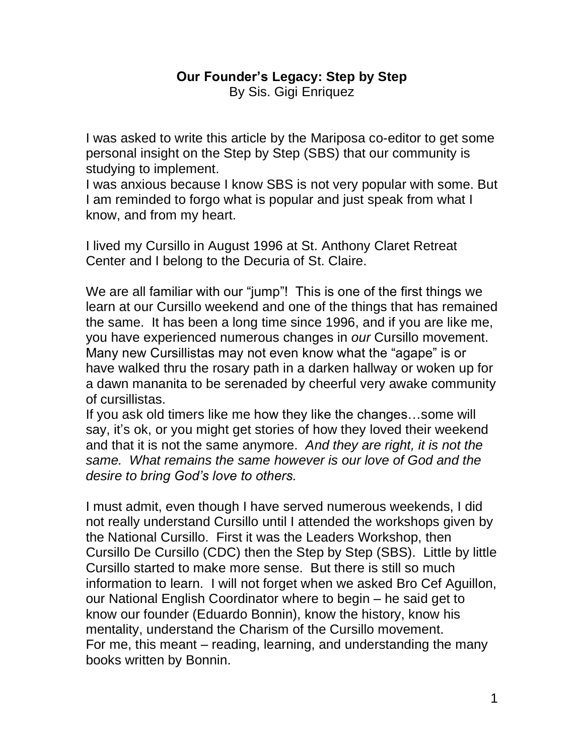## **Our Founder's Legacy: Step by Step** By Sis. Gigi Enriquez

I was asked to write this article by the Mariposa co-editor to get some personal insight on the Step by Step (SBS) that our community is studying to implement.

I was anxious because I know SBS is not very popular with some. But I am reminded to forgo what is popular and just speak from what I know, and from my heart.

I lived my Cursillo in August 1996 at St. Anthony Claret Retreat Center and I belong to the Decuria of St. Claire.

We are all familiar with our "jump"! This is one of the first things we learn at our Cursillo weekend and one of the things that has remained the same. It has been a long time since 1996, and if you are like me, you have experienced numerous changes in *our* Cursillo movement. Many new Cursillistas may not even know what the "agape" is or have walked thru the rosary path in a darken hallway or woken up for a dawn mananita to be serenaded by cheerful very awake community of cursillistas.

If you ask old timers like me how they like the changes…some will say, it's ok, or you might get stories of how they loved their weekend and that it is not the same anymore. *And they are right, it is not the same. What remains the same however is our love of God and the desire to bring God's love to others.* 

I must admit, even though I have served numerous weekends, I did not really understand Cursillo until I attended the workshops given by the National Cursillo. First it was the Leaders Workshop, then Cursillo De Cursillo (CDC) then the Step by Step (SBS). Little by little Cursillo started to make more sense. But there is still so much information to learn. I will not forget when we asked Bro Cef Aguillon, our National English Coordinator where to begin – he said get to know our founder (Eduardo Bonnin), know the history, know his mentality, understand the Charism of the Cursillo movement. For me, this meant – reading, learning, and understanding the many books written by Bonnin.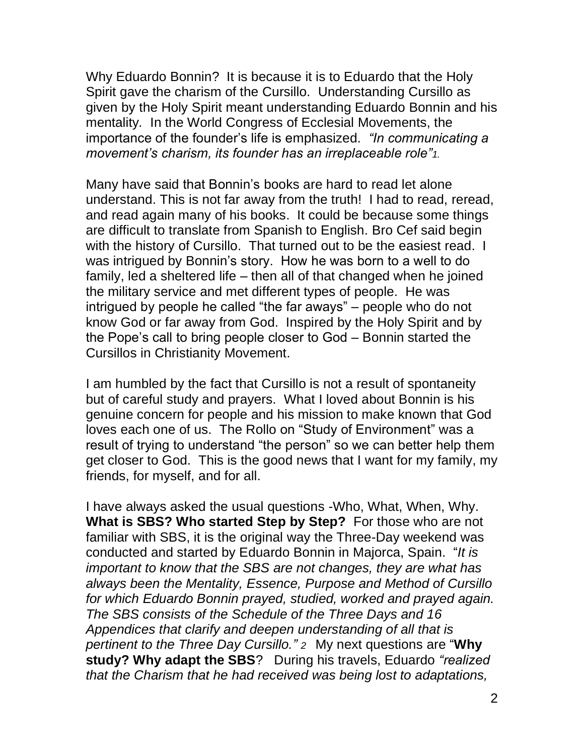Why Eduardo Bonnin? It is because it is to Eduardo that the Holy Spirit gave the charism of the Cursillo. Understanding Cursillo as given by the Holy Spirit meant understanding Eduardo Bonnin and his mentality*.* In the World Congress of Ecclesial Movements, the importance of the founder's life is emphasized. *"In communicating a movement's charism, its founder has an irreplaceable role"1.*

Many have said that Bonnin's books are hard to read let alone understand. This is not far away from the truth! I had to read, reread, and read again many of his books. It could be because some things are difficult to translate from Spanish to English. Bro Cef said begin with the history of Cursillo. That turned out to be the easiest read. I was intrigued by Bonnin's story. How he was born to a well to do family, led a sheltered life – then all of that changed when he joined the military service and met different types of people. He was intrigued by people he called "the far aways" – people who do not know God or far away from God. Inspired by the Holy Spirit and by the Pope's call to bring people closer to God – Bonnin started the Cursillos in Christianity Movement.

I am humbled by the fact that Cursillo is not a result of spontaneity but of careful study and prayers. What I loved about Bonnin is his genuine concern for people and his mission to make known that God loves each one of us. The Rollo on "Study of Environment" was a result of trying to understand "the person" so we can better help them get closer to God. This is the good news that I want for my family, my friends, for myself, and for all.

I have always asked the usual questions -Who, What, When, Why. **What is SBS? Who started Step by Step?** For those who are not familiar with SBS, it is the original way the Three-Day weekend was conducted and started by Eduardo Bonnin in Majorca, Spain. "*It is important to know that the SBS are not changes, they are what has always been the Mentality, Essence, Purpose and Method of Cursillo for which Eduardo Bonnin prayed, studied, worked and prayed again. The SBS consists of the Schedule of the Three Days and 16 Appendices that clarify and deepen understanding of all that is pertinent to the Three Day Cursillo." 2* My next questions are "**Why study? Why adapt the SBS**? During his travels, Eduardo *"realized that the Charism that he had received was being lost to adaptations,*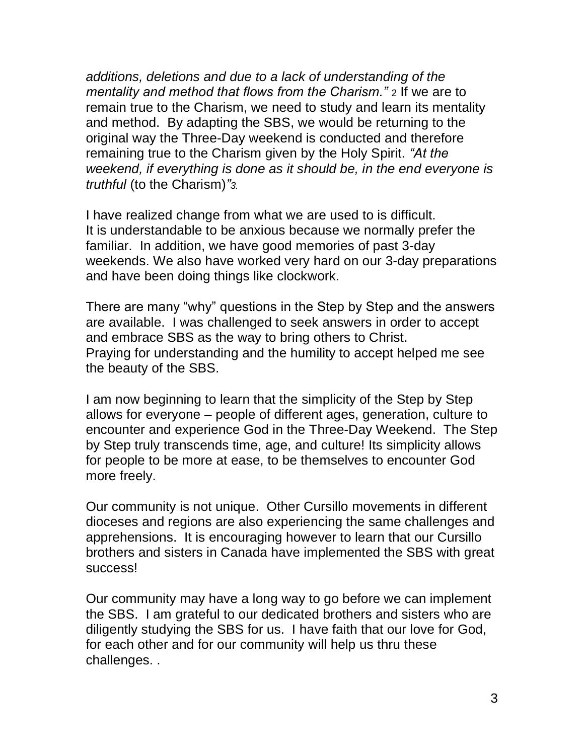*additions, deletions and due to a lack of understanding of the mentality and method that flows from the Charism."* 2 If we are to remain true to the Charism, we need to study and learn its mentality and method. By adapting the SBS, we would be returning to the original way the Three-Day weekend is conducted and therefore remaining true to the Charism given by the Holy Spirit. *"At the weekend, if everything is done as it should be, in the end everyone is truthful* (to the Charism)*"3.*

I have realized change from what we are used to is difficult. It is understandable to be anxious because we normally prefer the familiar. In addition, we have good memories of past 3-day weekends. We also have worked very hard on our 3-day preparations and have been doing things like clockwork.

There are many "why" questions in the Step by Step and the answers are available. I was challenged to seek answers in order to accept and embrace SBS as the way to bring others to Christ. Praying for understanding and the humility to accept helped me see the beauty of the SBS.

I am now beginning to learn that the simplicity of the Step by Step allows for everyone – people of different ages, generation, culture to encounter and experience God in the Three-Day Weekend. The Step by Step truly transcends time, age, and culture! Its simplicity allows for people to be more at ease, to be themselves to encounter God more freely.

Our community is not unique. Other Cursillo movements in different dioceses and regions are also experiencing the same challenges and apprehensions. It is encouraging however to learn that our Cursillo brothers and sisters in Canada have implemented the SBS with great success!

Our community may have a long way to go before we can implement the SBS. I am grateful to our dedicated brothers and sisters who are diligently studying the SBS for us. I have faith that our love for God, for each other and for our community will help us thru these challenges. .